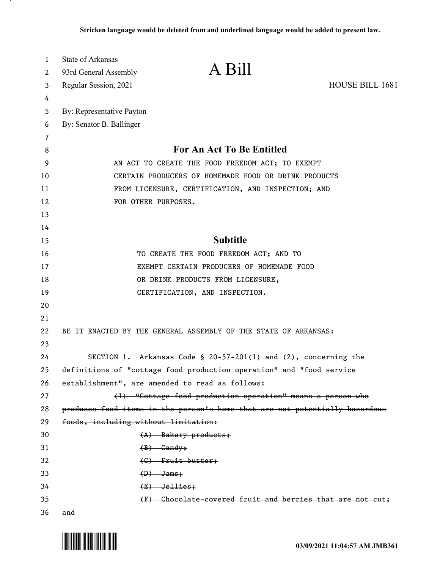| 1  | State of Arkansas                    |                                                                             |                 |
|----|--------------------------------------|-----------------------------------------------------------------------------|-----------------|
| 2  | 93rd General Assembly                | A Bill                                                                      |                 |
| 3  | Regular Session, 2021                |                                                                             | HOUSE BILL 1681 |
| 4  |                                      |                                                                             |                 |
| 5  | By: Representative Payton            |                                                                             |                 |
| 6  | By: Senator B. Ballinger             |                                                                             |                 |
| 7  |                                      |                                                                             |                 |
| 8  |                                      | For An Act To Be Entitled                                                   |                 |
| 9  |                                      | AN ACT TO CREATE THE FOOD FREEDOM ACT; TO EXEMPT                            |                 |
| 10 |                                      | CERTAIN PRODUCERS OF HOMEMADE FOOD OR DRINK PRODUCTS                        |                 |
| 11 |                                      | FROM LICENSURE, CERTIFICATION, AND INSPECTION; AND                          |                 |
| 12 | FOR OTHER PURPOSES.                  |                                                                             |                 |
| 13 |                                      |                                                                             |                 |
| 14 |                                      |                                                                             |                 |
| 15 |                                      | <b>Subtitle</b>                                                             |                 |
| 16 |                                      | TO CREATE THE FOOD FREEDOM ACT; AND TO                                      |                 |
| 17 |                                      | EXEMPT CERTAIN PRODUCERS OF HOMEMADE FOOD                                   |                 |
| 18 |                                      | OR DRINK PRODUCTS FROM LICENSURE,                                           |                 |
| 19 |                                      | CERTIFICATION, AND INSPECTION.                                              |                 |
| 20 |                                      |                                                                             |                 |
| 21 |                                      |                                                                             |                 |
| 22 |                                      | BE IT ENACTED BY THE GENERAL ASSEMBLY OF THE STATE OF ARKANSAS:             |                 |
| 23 |                                      |                                                                             |                 |
| 24 |                                      | SECTION 1. Arkansas Code § 20-57-201(1) and $(2)$ , concerning the          |                 |
| 25 |                                      | definitions of "cottage food production operation" and "food service        |                 |
| 26 |                                      | establishment", are amended to read as follows:                             |                 |
| 27 |                                      | (1) "Cottage food production operation" means a person who                  |                 |
| 28 |                                      | produces food items in the person's home that are not potentially hazardous |                 |
| 29 | foods, including without limitation: |                                                                             |                 |
| 30 |                                      | $(A)$ Bakery products;                                                      |                 |
| 31 |                                      | $(B)$ Gandy;                                                                |                 |
| 32 |                                      | $(G)$ Fruit butter;                                                         |                 |
| 33 |                                      | $(D)$ Jams;                                                                 |                 |
| 34 |                                      | $(E)$ Jellies;                                                              |                 |
| 35 |                                      | (F) Chocolate covered fruit and berries that are not cut;                   |                 |
| 36 | and                                  |                                                                             |                 |

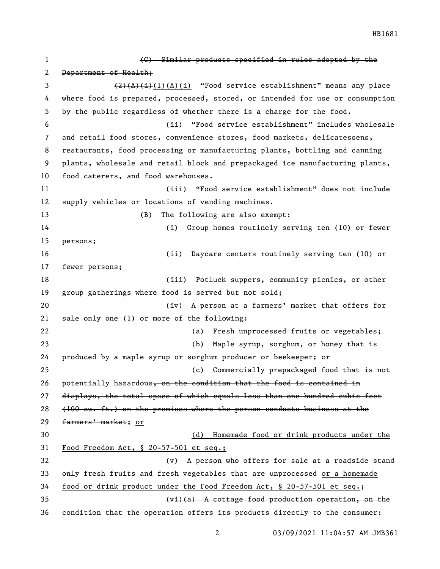(G) Similar products specified in rules adopted by the 2 Department of Health; 3 (2)(A)(i)(A)(i) "Food service establishment" means any place where food is prepared, processed, stored, or intended for use or consumption by the public regardless of whether there is a charge for the food. (ii) "Food service establishment" includes wholesale and retail food stores, convenience stores, food markets, delicatessens, restaurants, food processing or manufacturing plants, bottling and canning plants, wholesale and retail block and prepackaged ice manufacturing plants, food caterers, and food warehouses. (iii) "Food service establishment" does not include supply vehicles or locations of vending machines. (B) The following are also exempt: (i) Group homes routinely serving ten (10) or fewer persons; (ii) Daycare centers routinely serving ten (10) or fewer persons; (iii) Potluck suppers, community picnics, or other group gatherings where food is served but not sold; (iv) A person at a farmers' market that offers for sale only one (1) or more of the following: (a) Fresh unprocessed fruits or vegetables; (b) Maple syrup, sorghum, or honey that is 24 produced by a maple syrup or sorghum producer or beekeeper;  $\Theta$  (c) Commercially prepackaged food that is not 26 potentially hazardous, on the condition that the food is contained in displays, the total space of which equals less than one hundred cubic feet (100 cu. ft.) on the premises where the person conducts business at the 29 farmers' market; or (d) Homemade food or drink products under the Food Freedom Act, § 20-57-501 et seq.; (v) A person who offers for sale at a roadside stand only fresh fruits and fresh vegetables that are unprocessed or a homemade food or drink product under the Food Freedom Act, § 20-57-501 et seq.; (vi)(a) A cottage food production operation, on the condition that the operation offers its products directly to the consumer:

HB1681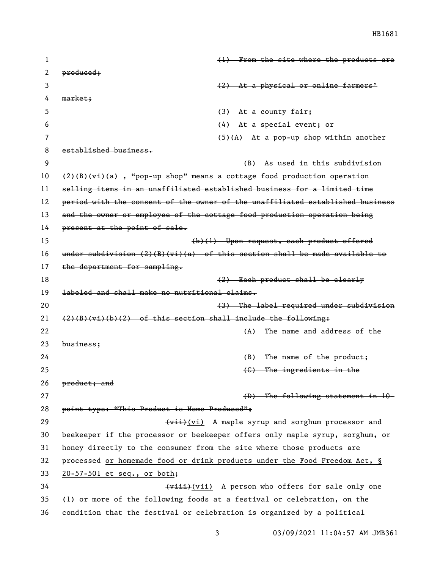| 1  | $(1)$ From the site where the products are                                    |
|----|-------------------------------------------------------------------------------|
| 2  | produced;                                                                     |
| 3  | (2) At a physical or online farmers'                                          |
| 4  | market;                                                                       |
| 5  | $(3)$ At a county fair;                                                       |
| 6  | $(4)$ At a special event; or                                                  |
| 7  | $(5)(A)$ At a pop-up shop within another                                      |
| 8  | established business.                                                         |
| 9  | (B) As used in this subdivision                                               |
| 10 | $(2)(B)(vi)(a)$ , "pop-up shop" means a cottage food production operation     |
| 11 | selling items in an unaffiliated established business for a limited time      |
| 12 | period with the consent of the owner of the unaffiliated established business |
| 13 | and the owner or employee of the cottage food production operation being      |
| 14 | present at the point of sale.                                                 |
| 15 | (b)(1) Upon request, each product offered                                     |
| 16 | under subdivision $(2)(B)(vi)(a)$ of this section shall be made available to  |
| 17 | the department for sampling.                                                  |
| 18 | (2) Each product shall be clearly                                             |
| 19 | labeled and shall make no nutritional claims.                                 |
| 20 | (3) The label required under subdivision                                      |
| 21 | $(2)(B)(vi)(b)(2)$ of this section shall include the following:               |
| 22 | $(A)$ The name and address of the                                             |
| 23 | $busines$                                                                     |
| 24 | $(B)$ The name of the product;                                                |
| 25 | $(6)$ The ingredients in the                                                  |
| 26 | product; and                                                                  |
| 27 | $(D)$ The following statement in $10-$                                        |
| 28 | point type: "This Product is Home-Produced";                                  |
| 29 | (vii) A maple syrup and sorghum processor and                                 |
| 30 | beekeeper if the processor or beekeeper offers only maple syrup, sorghum, or  |
| 31 | honey directly to the consumer from the site where those products are         |
| 32 | processed or homemade food or drink products under the Food Freedom Act, §    |
| 33 | $20 - 57 - 501$ et seq., or both;                                             |
| 34 | (viii) A person who offers for sale only one                                  |
| 35 | (1) or more of the following foods at a festival or celebration, on the       |
| 36 | condition that the festival or celebration is organized by a political        |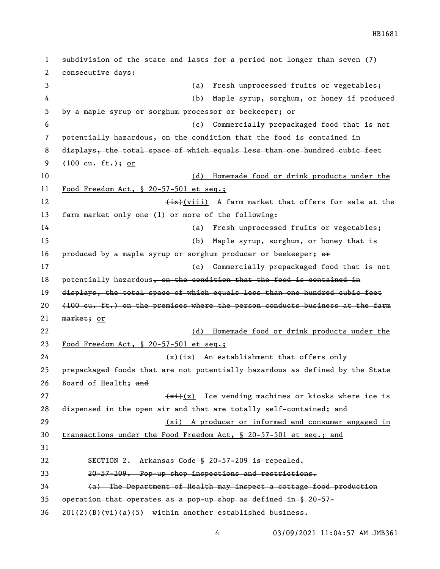subdivision of the state and lasts for a period not longer than seven (7) consecutive days: (a) Fresh unprocessed fruits or vegetables; (b) Maple syrup, sorghum, or honey if produced 5 by a maple syrup or sorghum processor or beekeeper;  $\Theta$  (c) Commercially prepackaged food that is not 7 potentially hazardous, on the condition that the food is contained in 8 displays, the total space of which equals less than one hundred cubic feet  $(100 \text{ cu. ft.})$ ; or (d) Homemade food or drink products under the Food Freedom Act, § 20-57-501 et seq.; 12 (ix)(viii) A farm market that offers for sale at the farm market only one (1) or more of the following: (a) Fresh unprocessed fruits or vegetables; (b) Maple syrup, sorghum, or honey that is 16 produced by a maple syrup or sorghum producer or beekeeper;  $\Theta$ r (c) Commercially prepackaged food that is not 18 potentially hazardous, on the condition that the food is contained in displays, the total space of which equals less than one hundred cubic feet  $(100 \text{ cu. ft.})$  on the premises where the person conducts business at the farm 21 market; or (d) Homemade food or drink products under the Food Freedom Act, § 20-57-501 et seq.;  $\left(\frac{1}{x}\right)(ix)$  An establishment that offers only prepackaged foods that are not potentially hazardous as defined by the State 26 Board of Health; and  $\frac{f(x+1)}{x}$  Ice vending machines or kiosks where ice is dispensed in the open air and that are totally self-contained; and (xi) A producer or informed end consumer engaged in transactions under the Food Freedom Act, § 20-57-501 et seq.; and SECTION 2. Arkansas Code § 20-57-209 is repealed. 20-57-209. Pop-up shop inspections and restrictions. (a) The Department of Health may inspect a cottage food production operation that operates as a pop-up shop as defined in § 20-57-  $36 \quad 201(2)(B)(vi)(a)(5)$  within another established business.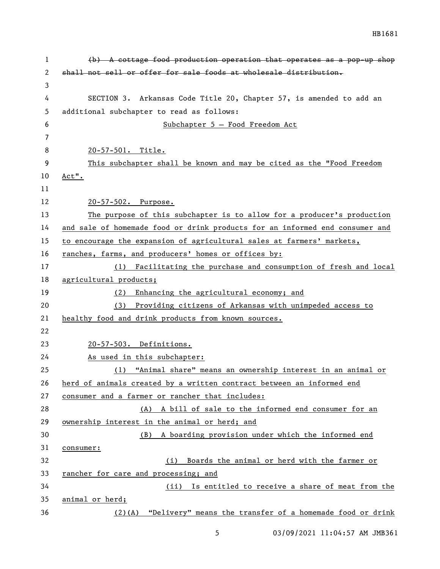| 1  | $(b)$ A cottage food production operation that operates as a pop-up shop     |
|----|------------------------------------------------------------------------------|
| 2  | shall not sell or offer for sale foods at wholesale distribution.            |
| 3  |                                                                              |
| 4  | SECTION 3. Arkansas Code Title 20, Chapter 57, is amended to add an          |
| 5  | additional subchapter to read as follows:                                    |
| 6  | Subchapter 5 - Food Freedom Act                                              |
| 7  |                                                                              |
| 8  | 20-57-501. Title.                                                            |
| 9  | This subchapter shall be known and may be cited as the "Food Freedom         |
| 10 | $Act$ ".                                                                     |
| 11 |                                                                              |
| 12 | 20-57-502. Purpose.                                                          |
| 13 | The purpose of this subchapter is to allow for a producer's production       |
| 14 | and sale of homemade food or drink products for an informed end consumer and |
| 15 | to encourage the expansion of agricultural sales at farmers' markets,        |
| 16 | ranches, farms, and producers' homes or offices by:                          |
| 17 | Facilitating the purchase and consumption of fresh and local<br>(1)          |
| 18 | agricultural products;                                                       |
| 19 | Enhancing the agricultural economy; and<br>(2)                               |
| 20 | (3) Providing citizens of Arkansas with unimpeded access to                  |
| 21 | healthy food and drink products from known sources.                          |
| 22 |                                                                              |
| 23 | 20-57-503. Definitions.                                                      |
| 24 | As used in this subchapter:                                                  |
| 25 | (1) "Animal share" means an ownership interest in an animal or               |
| 26 | herd of animals created by a written contract between an informed end        |
| 27 | consumer and a farmer or rancher that includes:                              |
| 28 | (A) A bill of sale to the informed end consumer for an                       |
| 29 | ownership interest in the animal or herd; and                                |
| 30 | A boarding provision under which the informed end<br>(B)                     |
| 31 | consumer:                                                                    |
| 32 | Boards the animal or herd with the farmer or<br>(i)                          |
| 33 | rancher for care and processing; and                                         |
| 34 | Is entitled to receive a share of meat from the<br>(ii)                      |
| 35 | animal or herd;                                                              |
| 36 | "Delivery" means the transfer of a homemade food or drink<br>$(2)$ (A)       |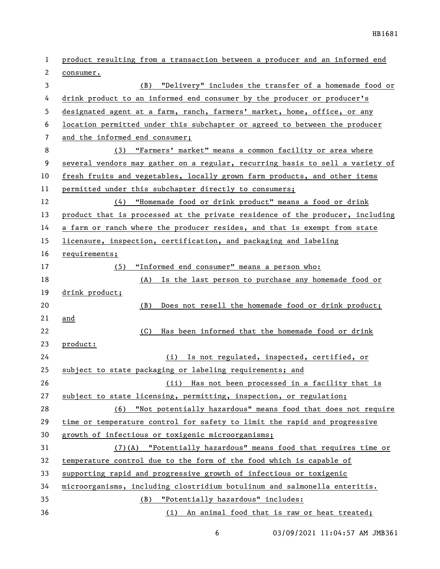| 1                        | product resulting from a transaction between a producer and an informed end   |
|--------------------------|-------------------------------------------------------------------------------|
| 2                        | consumer.                                                                     |
| 3                        | (B) "Delivery" includes the transfer of a homemade food or                    |
| 4                        | drink product to an informed end consumer by the producer or producer's       |
| 5                        | designated agent at a farm, ranch, farmers' market, home, office, or any      |
| 6                        | location permitted under this subchapter or agreed to between the producer    |
| $\overline{\phantom{a}}$ | and the informed end consumer;                                                |
| 8                        | (3) "Farmers' market" means a common facility or area where                   |
| 9                        | several vendors may gather on a regular, recurring basis to sell a variety of |
| 10                       | fresh fruits and vegetables, locally grown farm products, and other items     |
| 11                       | permitted under this subchapter directly to consumers;                        |
| 12                       | "Homemade food or drink product" means a food or drink<br>(4)                 |
| 13                       | product that is processed at the private residence of the producer, including |
| 14                       | a farm or ranch where the producer resides, and that is exempt from state     |
| 15                       | licensure, inspection, certification, and packaging and labeling              |
| 16                       | requirements;                                                                 |
| 17                       | "Informed end consumer" means a person who:<br>(5)                            |
| 18                       | (A) Is the last person to purchase any homemade food or                       |
| 19                       | drink product;                                                                |
| 20                       | Does not resell the homemade food or drink product;<br>(B)                    |
| 21                       | and                                                                           |
| 22                       | Has been informed that the homemade food or drink<br>(C)                      |
| 23                       | product:                                                                      |
| 24                       | (i) Is not regulated, inspected, certified, or                                |
| 25                       | subject to state packaging or labeling requirements; and                      |
| 26                       | (ii) Has not been processed in a facility that is                             |
| 27                       | subject to state licensing, permitting, inspection, or regulation;            |
| 28                       | (6) "Not potentially hazardous" means food that does not require              |
| 29                       | time or temperature control for safety to limit the rapid and progressive     |
| 30                       | growth of infectious or toxigenic microorganisms;                             |
| 31                       | (7)(A) "Potentially hazardous" means food that requires time or               |
| 32                       | temperature control due to the form of the food which is capable of           |
| 33                       | supporting rapid and progressive growth of infectious or toxigenic            |
| 34                       | microorganisms, including clostridium botulinum and salmonella enteritis.     |
| 35                       | (B) "Potentially hazardous" includes:                                         |
| 36                       | (i) An animal food that is raw or heat treated;                               |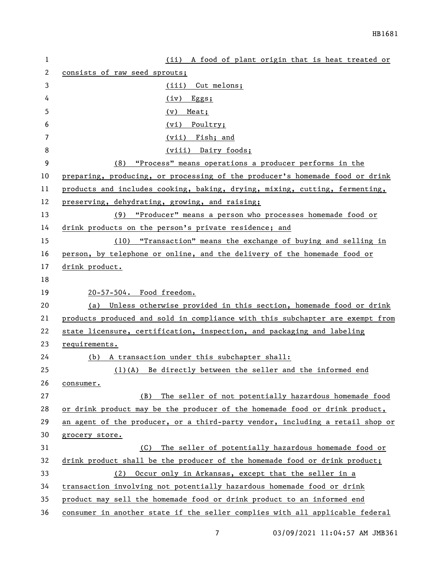| $\mathbf{1}$ | (ii) A food of plant origin that is heat treated or                           |
|--------------|-------------------------------------------------------------------------------|
| 2            | consists of raw seed sprouts;                                                 |
| 3            | (iii) Cut melons;                                                             |
| 4            | $(iv)$ Eggs;                                                                  |
| 5            | Meat;<br>(v)                                                                  |
| 6            | Poultry;<br>(vi)                                                              |
| 7            | (vii) Fish; and                                                               |
| 8            | (viii) Dairy foods;                                                           |
| 9            | "Process" means operations a producer performs in the<br>(8)                  |
| 10           | preparing, producing, or processing of the producer's homemade food or drink  |
| 11           | products and includes cooking, baking, drying, mixing, cutting, fermenting,   |
| 12           | preserving, dehydrating, growing, and raising;                                |
| 13           | (9) "Producer" means a person who processes homemade food or                  |
| 14           | drink products on the person's private residence; and                         |
| 15           | (10) "Transaction" means the exchange of buying and selling in                |
| 16           | person, by telephone or online, and the delivery of the homemade food or      |
| 17           | drink product.                                                                |
| 18           |                                                                               |
| 19           | 20-57-504. Food freedom.                                                      |
| 20           | (a) Unless otherwise provided in this section, homemade food or drink         |
| 21           | products produced and sold in compliance with this subchapter are exempt from |
| 22           | state licensure, certification, inspection, and packaging and labeling        |
| 23           | requirements.                                                                 |
| 24           | (b) A transaction under this subchapter shall:                                |
| 25           | $(1)(A)$ Be directly between the seller and the informed end                  |
| 26           | consumer.                                                                     |
| 27           | The seller of not potentially hazardous homemade food<br>(B)                  |
| 28           | or drink product may be the producer of the homemade food or drink product,   |
| 29           | an agent of the producer, or a third-party vendor, including a retail shop or |
| 30           | grocery store.                                                                |
| 31           | The seller of potentially hazardous homemade food or<br>(C)                   |
| 32           | drink product shall be the producer of the homemade food or drink product;    |
| 33           | Occur only in Arkansas, except that the seller in a<br>(2)                    |
| 34           | transaction involving not potentially hazardous homemade food or drink        |
| 35           | product may sell the homemade food or drink product to an informed end        |
| 36           | consumer in another state if the seller complies with all applicable federal  |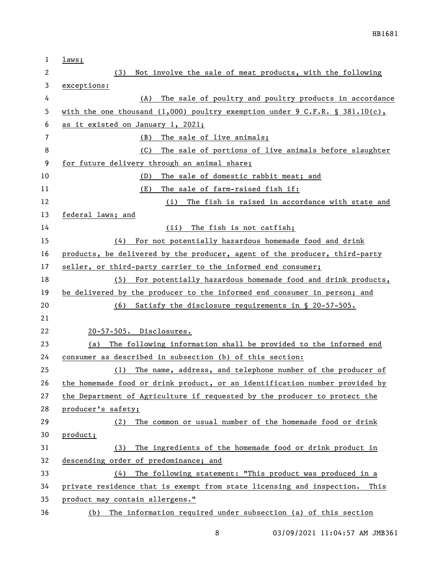| $\mathbf 1$    | laws;                                                                       |
|----------------|-----------------------------------------------------------------------------|
| 2              | Not involve the sale of meat products, with the following<br>(3)            |
| 3              | exceptions:                                                                 |
| 4              | The sale of poultry and poultry products in accordance<br>(A)               |
| 5              | with the one thousand (1,000) poultry exemption under 9 C.F.R. § 381.10(c), |
| 6              | as it existed on January 1, 2021;                                           |
| $\overline{7}$ | The sale of live animals;<br>(B)                                            |
| 8              | The sale of portions of live animals before slaughter<br>(C)                |
| 9              | for future delivery through an animal share;                                |
| 10             | The sale of domestic rabbit meat; and<br>(D)                                |
| 11             | The sale of farm-raised fish if:<br>(E)                                     |
| 12             | The fish is raised in accordance with state and<br>(i)                      |
| 13             | federal laws; and                                                           |
| 14             | The fish is not catfish;<br>(ii)                                            |
| 15             | (4) For not potentially hazardous homemade food and drink                   |
| 16             | products, be delivered by the producer, agent of the producer, third-party  |
| 17             | seller, or third-party carrier to the informed end consumer;                |
| 18             | For potentially hazardous homemade food and drink products,<br>(5)          |
| 19             | be delivered by the producer to the informed end consumer in person; and    |
| 20             | Satisfy the disclosure requirements in § 20-57-505.<br>(6)                  |
| 21             |                                                                             |
| 22             | 20-57-505. Disclosures.                                                     |
| 23             | The following information shall be provided to the informed end<br>(a)      |
| 24             | consumer as described in subsection (b) of this section:                    |
| 25             | (1) The name, address, and telephone number of the producer of              |
| 26             | the homemade food or drink product, or an identification number provided by |
| 27             | the Department of Agriculture if requested by the producer to protect the   |
| 28             | producer's safety;                                                          |
| 29             | The common or usual number of the homemade food or drink<br>(2)             |
| 30             | product;                                                                    |
| 31             | The ingredients of the homemade food or drink product in<br>(3)             |
| 32             | descending order of predominance; and                                       |
| 33             | The following statement: "This product was produced in a<br>(4)             |
| 34             | private residence that is exempt from state licensing and inspection. This  |
| 35             | product may contain allergens."                                             |
| 36             | The information required under subsection (a) of this section<br>(b)        |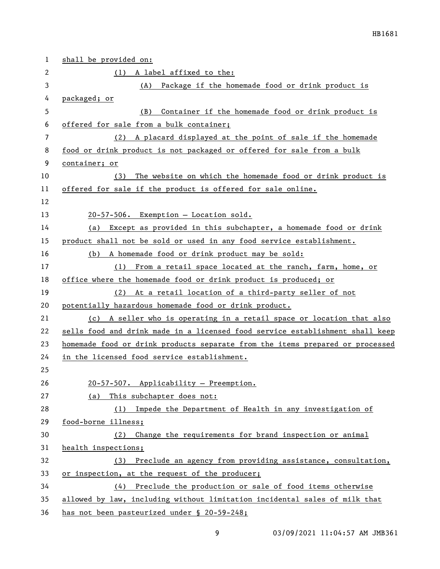| 1  | shall be provided on:                                                         |
|----|-------------------------------------------------------------------------------|
| 2  | (1) A label affixed to the:                                                   |
| 3  | Package if the homemade food or drink product is<br>(A)                       |
| 4  | packaged; or                                                                  |
| 5  | Container if the homemade food or drink product is<br>(B)                     |
| 6  | offered for sale from a bulk container;                                       |
| 7  | (2) A placard displayed at the point of sale if the homemade                  |
| 8  | food or drink product is not packaged or offered for sale from a bulk         |
| 9  | container; or                                                                 |
| 10 | The website on which the homemade food or drink product is<br>(3)             |
| 11 | offered for sale if the product is offered for sale online.                   |
| 12 |                                                                               |
| 13 | 20-57-506. Exemption - Location sold.                                         |
| 14 | (a) Except as provided in this subchapter, a homemade food or drink           |
| 15 | product shall not be sold or used in any food service establishment.          |
| 16 | (b) A homemade food or drink product may be sold:                             |
| 17 | (1) From a retail space located at the ranch, farm, home, or                  |
| 18 | office where the homemade food or drink product is produced; or               |
| 19 | (2) At a retail location of a third-party seller of not                       |
| 20 | potentially hazardous homemade food or drink product.                         |
| 21 | (c) A seller who is operating in a retail space or location that also         |
| 22 | sells food and drink made in a licensed food service establishment shall keep |
| 23 | homemade food or drink products separate from the items prepared or processed |
| 24 | in the licensed food service establishment.                                   |
| 25 |                                                                               |
| 26 | 20-57-507. Applicability - Preemption.                                        |
| 27 | This subchapter does not:<br>(a)                                              |
| 28 | (1) Impede the Department of Health in any investigation of                   |
| 29 | food-borne illness;                                                           |
| 30 | Change the requirements for brand inspection or animal<br>(2)                 |
| 31 | health inspections;                                                           |
| 32 | (3) Preclude an agency from providing assistance, consultation,               |
| 33 | or inspection, at the request of the producer;                                |
| 34 | (4) Preclude the production or sale of food items otherwise                   |
| 35 | allowed by law, including without limitation incidental sales of milk that    |
| 36 | has not been pasteurized under § 20-59-248;                                   |